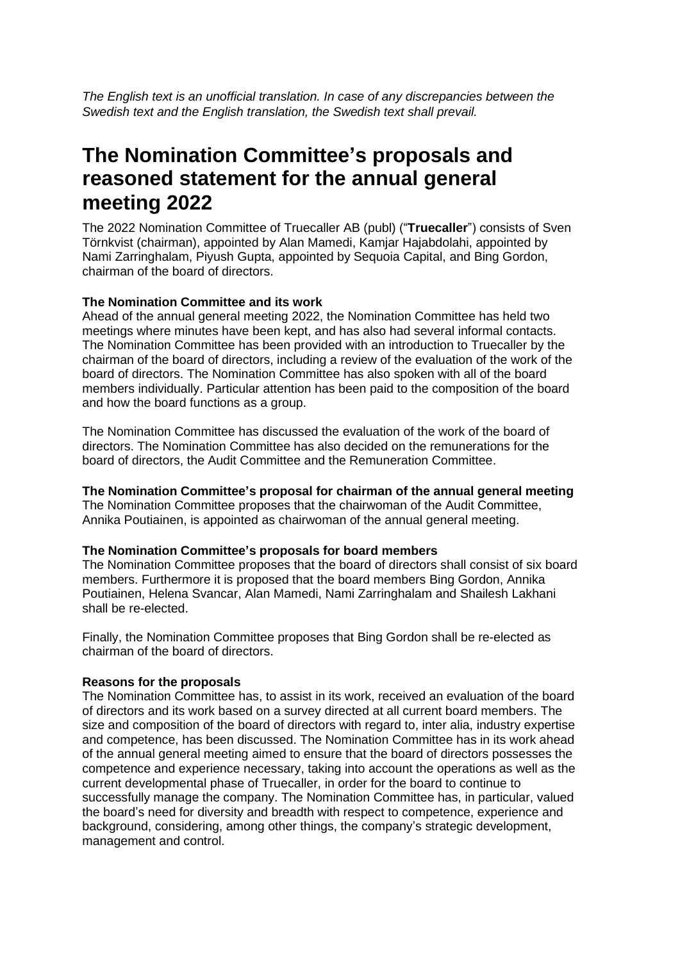*The English text is an unofficial translation. In case of any discrepancies between the Swedish text and the English translation, the Swedish text shall prevail.*

# **The Nomination Committee's proposals and reasoned statement for the annual general meeting 2022**

The 2022 Nomination Committee of Truecaller AB (publ) ("**Truecaller**") consists of Sven Törnkvist (chairman), appointed by Alan Mamedi, Kamjar Hajabdolahi, appointed by Nami Zarringhalam, Piyush Gupta, appointed by Sequoia Capital, and Bing Gordon, chairman of the board of directors.

# **The Nomination Committee and its work**

Ahead of the annual general meeting 2022, the Nomination Committee has held two meetings where minutes have been kept, and has also had several informal contacts. The Nomination Committee has been provided with an introduction to Truecaller by the chairman of the board of directors, including a review of the evaluation of the work of the board of directors. The Nomination Committee has also spoken with all of the board members individually. Particular attention has been paid to the composition of the board and how the board functions as a group.

The Nomination Committee has discussed the evaluation of the work of the board of directors. The Nomination Committee has also decided on the remunerations for the board of directors, the Audit Committee and the Remuneration Committee.

# **The Nomination Committee's proposal for chairman of the annual general meeting**

The Nomination Committee proposes that the chairwoman of the Audit Committee, Annika Poutiainen, is appointed as chairwoman of the annual general meeting.

#### **The Nomination Committee's proposals for board members**

The Nomination Committee proposes that the board of directors shall consist of six board members. Furthermore it is proposed that the board members Bing Gordon, Annika Poutiainen, Helena Svancar, Alan Mamedi, Nami Zarringhalam and Shailesh Lakhani shall be re-elected.

Finally, the Nomination Committee proposes that Bing Gordon shall be re-elected as chairman of the board of directors.

#### **Reasons for the proposals**

The Nomination Committee has, to assist in its work, received an evaluation of the board of directors and its work based on a survey directed at all current board members. The size and composition of the board of directors with regard to, inter alia, industry expertise and competence, has been discussed. The Nomination Committee has in its work ahead of the annual general meeting aimed to ensure that the board of directors possesses the competence and experience necessary, taking into account the operations as well as the current developmental phase of Truecaller, in order for the board to continue to successfully manage the company. The Nomination Committee has, in particular, valued the board's need for diversity and breadth with respect to competence, experience and background, considering, among other things, the company's strategic development, management and control.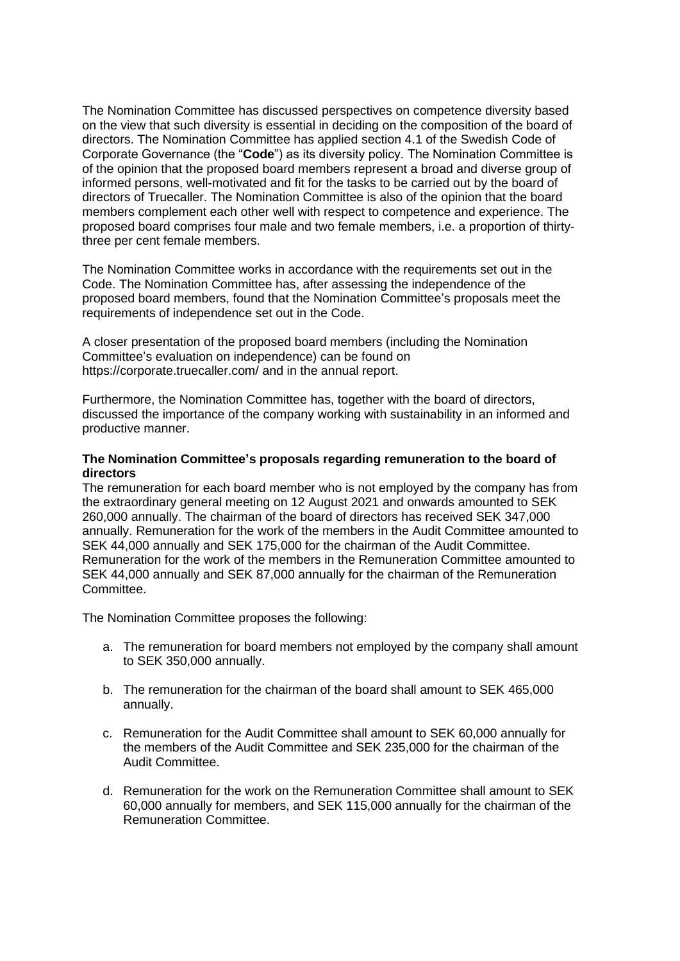The Nomination Committee has discussed perspectives on competence diversity based on the view that such diversity is essential in deciding on the composition of the board of directors. The Nomination Committee has applied section 4.1 of the Swedish Code of Corporate Governance (the "**Code**") as its diversity policy. The Nomination Committee is of the opinion that the proposed board members represent a broad and diverse group of informed persons, well-motivated and fit for the tasks to be carried out by the board of directors of Truecaller. The Nomination Committee is also of the opinion that the board members complement each other well with respect to competence and experience. The proposed board comprises four male and two female members, i.e. a proportion of thirtythree per cent female members.

The Nomination Committee works in accordance with the requirements set out in the Code. The Nomination Committee has, after assessing the independence of the proposed board members, found that the Nomination Committee's proposals meet the requirements of independence set out in the Code.

A closer presentation of the proposed board members (including the Nomination Committee's evaluation on independence) can be found on <https://corporate.truecaller.com/> and in the annual report.

Furthermore, the Nomination Committee has, together with the board of directors, discussed the importance of the company working with sustainability in an informed and productive manner.

# **The Nomination Committee's proposals regarding remuneration to the board of directors**

The remuneration for each board member who is not employed by the company has from the extraordinary general meeting on 12 August 2021 and onwards amounted to SEK 260,000 annually. The chairman of the board of directors has received SEK 347,000 annually. Remuneration for the work of the members in the Audit Committee amounted to SEK 44,000 annually and SEK 175,000 for the chairman of the Audit Committee. Remuneration for the work of the members in the Remuneration Committee amounted to SEK 44,000 annually and SEK 87,000 annually for the chairman of the Remuneration Committee.

The Nomination Committee proposes the following:

- a. The remuneration for board members not employed by the company shall amount to SEK 350,000 annually.
- b. The remuneration for the chairman of the board shall amount to SEK 465,000 annually.
- c. Remuneration for the Audit Committee shall amount to SEK 60,000 annually for the members of the Audit Committee and SEK 235,000 for the chairman of the Audit Committee.
- d. Remuneration for the work on the Remuneration Committee shall amount to SEK 60,000 annually for members, and SEK 115,000 annually for the chairman of the Remuneration Committee.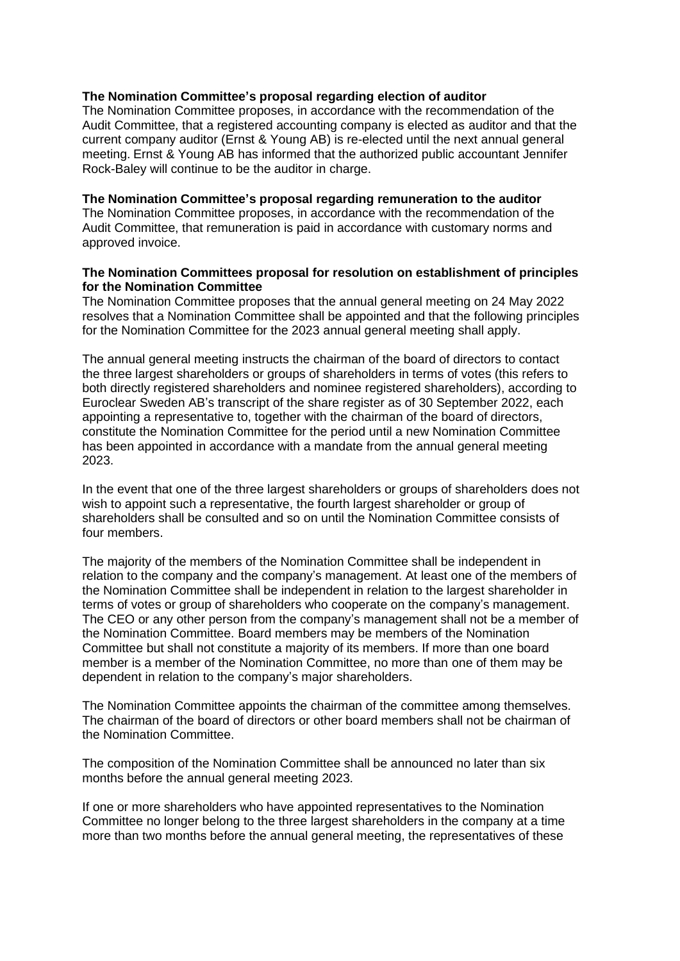# **The Nomination Committee's proposal regarding election of auditor**

The Nomination Committee proposes, in accordance with the recommendation of the Audit Committee, that a registered accounting company is elected as auditor and that the current company auditor (Ernst & Young AB) is re-elected until the next annual general meeting. Ernst & Young AB has informed that the authorized public accountant Jennifer Rock-Baley will continue to be the auditor in charge.

# **The Nomination Committee's proposal regarding remuneration to the auditor**

The Nomination Committee proposes, in accordance with the recommendation of the Audit Committee, that remuneration is paid in accordance with customary norms and approved invoice.

# **The Nomination Committees proposal for resolution on establishment of principles for the Nomination Committee**

The Nomination Committee proposes that the annual general meeting on 24 May 2022 resolves that a Nomination Committee shall be appointed and that the following principles for the Nomination Committee for the 2023 annual general meeting shall apply.

The annual general meeting instructs the chairman of the board of directors to contact the three largest shareholders or groups of shareholders in terms of votes (this refers to both directly registered shareholders and nominee registered shareholders), according to Euroclear Sweden AB's transcript of the share register as of 30 September 2022, each appointing a representative to, together with the chairman of the board of directors, constitute the Nomination Committee for the period until a new Nomination Committee has been appointed in accordance with a mandate from the annual general meeting 2023.

In the event that one of the three largest shareholders or groups of shareholders does not wish to appoint such a representative, the fourth largest shareholder or group of shareholders shall be consulted and so on until the Nomination Committee consists of four members.

The majority of the members of the Nomination Committee shall be independent in relation to the company and the company's management. At least one of the members of the Nomination Committee shall be independent in relation to the largest shareholder in terms of votes or group of shareholders who cooperate on the company's management. The CEO or any other person from the company's management shall not be a member of the Nomination Committee. Board members may be members of the Nomination Committee but shall not constitute a majority of its members. If more than one board member is a member of the Nomination Committee, no more than one of them may be dependent in relation to the company's major shareholders.

The Nomination Committee appoints the chairman of the committee among themselves. The chairman of the board of directors or other board members shall not be chairman of the Nomination Committee.

The composition of the Nomination Committee shall be announced no later than six months before the annual general meeting 2023.

If one or more shareholders who have appointed representatives to the Nomination Committee no longer belong to the three largest shareholders in the company at a time more than two months before the annual general meeting, the representatives of these